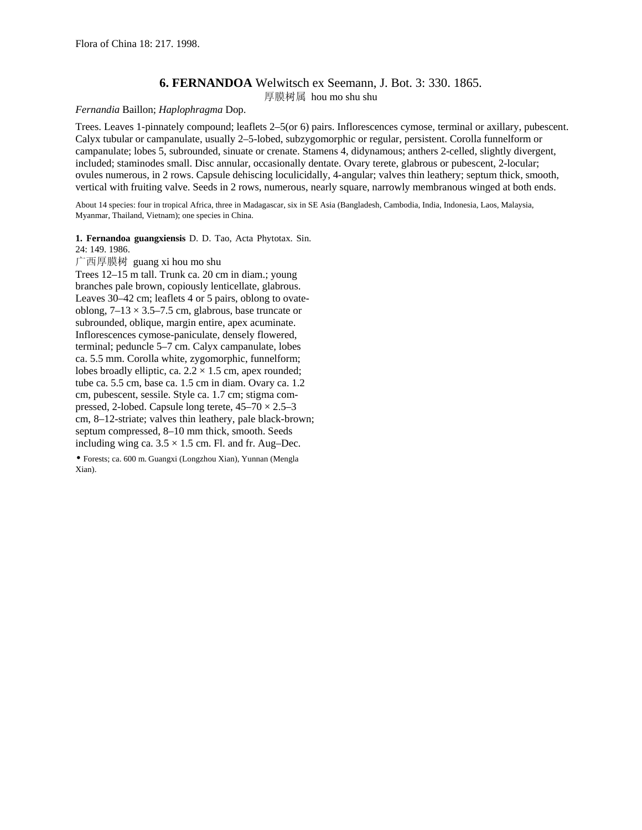## **6. FERNANDOA** Welwitsch ex Seemann, J. Bot. 3: 330. 1865. 厚膜树属 hou mo shu shu

## *Fernandia* Baillon; *Haplophragma* Dop.

Trees. Leaves 1-pinnately compound; leaflets 2–5(or 6) pairs. Inflorescences cymose, terminal or axillary, pubescent. Calyx tubular or campanulate, usually 2–5-lobed, subzygomorphic or regular, persistent. Corolla funnelform or campanulate; lobes 5, subrounded, sinuate or crenate. Stamens 4, didynamous; anthers 2-celled, slightly divergent, included; staminodes small. Disc annular, occasionally dentate. Ovary terete, glabrous or pubescent, 2-locular; ovules numerous, in 2 rows. Capsule dehiscing loculicidally, 4-angular; valves thin leathery; septum thick, smooth, vertical with fruiting valve. Seeds in 2 rows, numerous, nearly square, narrowly membranous winged at both ends.

About 14 species: four in tropical Africa, three in Madagascar, six in SE Asia (Bangladesh, Cambodia, India, Indonesia, Laos, Malaysia, Myanmar, Thailand, Vietnam); one species in China.

**1. Fernandoa guangxiensis** D. D. Tao, Acta Phytotax. Sin.

24: 149. 1986. 广西厚膜树 guang xi hou mo shu

Trees 12–15 m tall. Trunk ca. 20 cm in diam.; young branches pale brown, copiously lenticellate, glabrous. Leaves 30–42 cm; leaflets 4 or 5 pairs, oblong to ovateoblong,  $7-13 \times 3.5-7.5$  cm, glabrous, base truncate or subrounded, oblique, margin entire, apex acuminate. Inflorescences cymose-paniculate, densely flowered, terminal; peduncle 5–7 cm. Calyx campanulate, lobes ca. 5.5 mm. Corolla white, zygomorphic, funnelform; lobes broadly elliptic, ca.  $2.2 \times 1.5$  cm, apex rounded; tube ca. 5.5 cm, base ca. 1.5 cm in diam. Ovary ca. 1.2 cm, pubescent, sessile. Style ca. 1.7 cm; stigma compressed, 2-lobed. Capsule long terete,  $45-70 \times 2.5-3$ cm, 8–12-striate; valves thin leathery, pale black-brown; septum compressed, 8–10 mm thick, smooth. Seeds including wing ca.  $3.5 \times 1.5$  cm. Fl. and fr. Aug–Dec.

• Forests; ca. 600 m. Guangxi (Longzhou Xian), Yunnan (Mengla Xian).